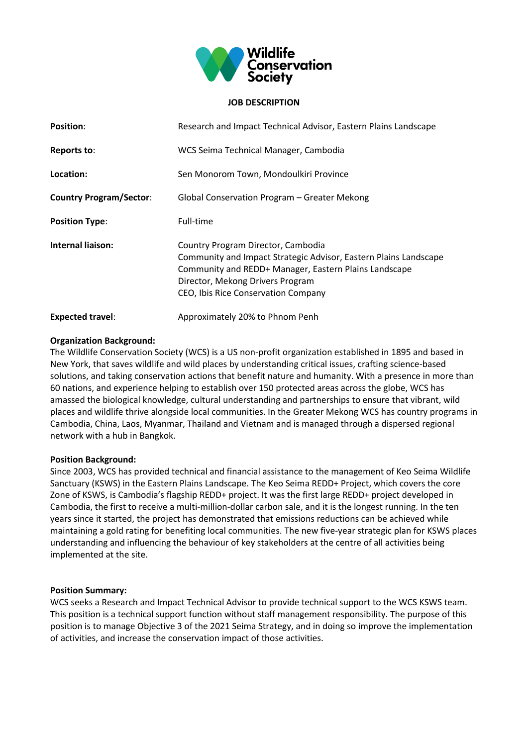

## **JOB DESCRIPTION**

| <b>Position:</b>               | Research and Impact Technical Advisor, Eastern Plains Landscape                                                                                                                                                                            |
|--------------------------------|--------------------------------------------------------------------------------------------------------------------------------------------------------------------------------------------------------------------------------------------|
| Reports to:                    | WCS Seima Technical Manager, Cambodia                                                                                                                                                                                                      |
| Location:                      | Sen Monorom Town, Mondoulkiri Province                                                                                                                                                                                                     |
| <b>Country Program/Sector:</b> | Global Conservation Program - Greater Mekong                                                                                                                                                                                               |
| <b>Position Type:</b>          | Full-time                                                                                                                                                                                                                                  |
| Internal liaison:              | Country Program Director, Cambodia<br>Community and Impact Strategic Advisor, Eastern Plains Landscape<br>Community and REDD+ Manager, Eastern Plains Landscape<br>Director, Mekong Drivers Program<br>CEO, Ibis Rice Conservation Company |
| <b>Expected travel:</b>        | Approximately 20% to Phnom Penh                                                                                                                                                                                                            |

# **Organization Background:**

The Wildlife Conservation Society (WCS) is a US non-profit organization established in 1895 and based in New York, that saves wildlife and wild places by understanding critical issues, crafting science-based solutions, and taking conservation actions that benefit nature and humanity. With a presence in more than 60 nations, and experience helping to establish over 150 protected areas across the globe, WCS has amassed the biological knowledge, cultural understanding and partnerships to ensure that vibrant, wild places and wildlife thrive alongside local communities. In the Greater Mekong WCS has country programs in Cambodia, China, Laos, Myanmar, Thailand and Vietnam and is managed through a dispersed regional network with a hub in Bangkok.

### **Position Background:**

Since 2003, WCS has provided technical and financial assistance to the management of Keo Seima Wildlife Sanctuary (KSWS) in the Eastern Plains Landscape. The Keo Seima REDD+ Project, which covers the core Zone of KSWS, is Cambodia's flagship REDD+ project. It was the first large REDD+ project developed in Cambodia, the first to receive a multi-million-dollar carbon sale, and it is the longest running. In the ten years since it started, the project has demonstrated that emissions reductions can be achieved while maintaining a gold rating for benefiting local communities. The new five-year strategic plan for KSWS places understanding and influencing the behaviour of key stakeholders at the centre of all activities being implemented at the site.

### **Position Summary:**

WCS seeks a Research and Impact Technical Advisor to provide technical support to the WCS KSWS team. This position is a technical support function without staff management responsibility. The purpose of this position is to manage Objective 3 of the 2021 Seima Strategy, and in doing so improve the implementation of activities, and increase the conservation impact of those activities.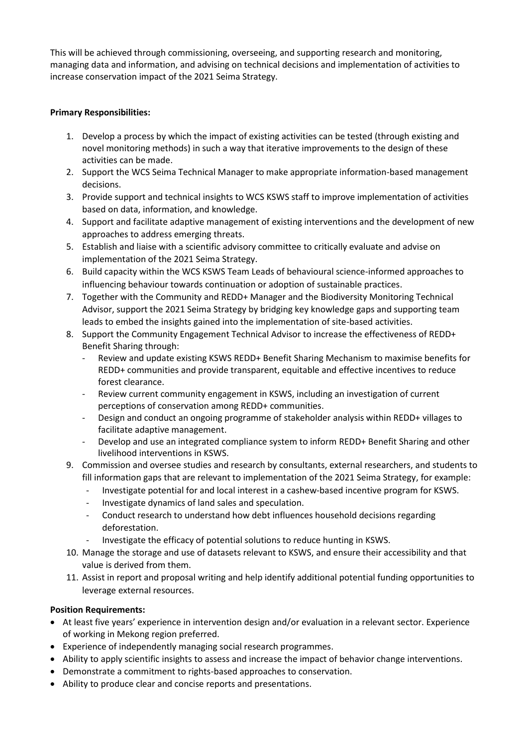This will be achieved through commissioning, overseeing, and supporting research and monitoring, managing data and information, and advising on technical decisions and implementation of activities to increase conservation impact of the 2021 Seima Strategy.

# **Primary Responsibilities:**

- 1. Develop a process by which the impact of existing activities can be tested (through existing and novel monitoring methods) in such a way that iterative improvements to the design of these activities can be made.
- 2. Support the WCS Seima Technical Manager to make appropriate information-based management decisions.
- 3. Provide support and technical insights to WCS KSWS staff to improve implementation of activities based on data, information, and knowledge.
- 4. Support and facilitate adaptive management of existing interventions and the development of new approaches to address emerging threats.
- 5. Establish and liaise with a scientific advisory committee to critically evaluate and advise on implementation of the 2021 Seima Strategy.
- 6. Build capacity within the WCS KSWS Team Leads of behavioural science-informed approaches to influencing behaviour towards continuation or adoption of sustainable practices.
- 7. Together with the Community and REDD+ Manager and the Biodiversity Monitoring Technical Advisor, support the 2021 Seima Strategy by bridging key knowledge gaps and supporting team leads to embed the insights gained into the implementation of site-based activities.
- 8. Support the Community Engagement Technical Advisor to increase the effectiveness of REDD+ Benefit Sharing through:
	- Review and update existing KSWS REDD+ Benefit Sharing Mechanism to maximise benefits for REDD+ communities and provide transparent, equitable and effective incentives to reduce forest clearance.
	- Review current community engagement in KSWS, including an investigation of current perceptions of conservation among REDD+ communities.
	- Design and conduct an ongoing programme of stakeholder analysis within REDD+ villages to facilitate adaptive management.
	- Develop and use an integrated compliance system to inform REDD+ Benefit Sharing and other livelihood interventions in KSWS.
- 9. Commission and oversee studies and research by consultants, external researchers, and students to fill information gaps that are relevant to implementation of the 2021 Seima Strategy, for example:
	- Investigate potential for and local interest in a cashew-based incentive program for KSWS.
	- Investigate dynamics of land sales and speculation.
	- Conduct research to understand how debt influences household decisions regarding deforestation.
	- Investigate the efficacy of potential solutions to reduce hunting in KSWS.
- 10. Manage the storage and use of datasets relevant to KSWS, and ensure their accessibility and that value is derived from them.
- 11. Assist in report and proposal writing and help identify additional potential funding opportunities to leverage external resources.

# **Position Requirements:**

- At least five years' experience in intervention design and/or evaluation in a relevant sector. Experience of working in Mekong region preferred.
- Experience of independently managing social research programmes.
- Ability to apply scientific insights to assess and increase the impact of behavior change interventions.
- Demonstrate a commitment to rights-based approaches to conservation.
- Ability to produce clear and concise reports and presentations.